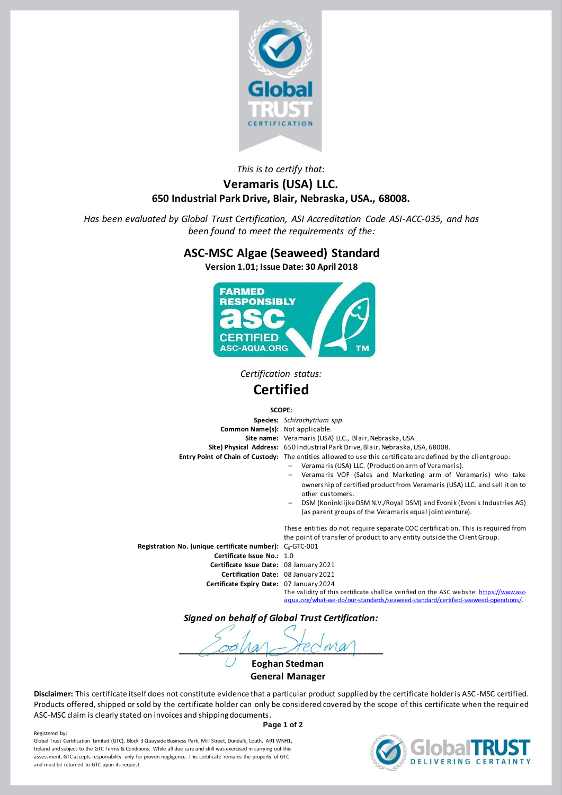

## *This is to certify that:* **Veramaris (USA) LLC. 650 Industrial Park Drive, Blair, Nebraska, USA., 68008.**

*Has been evaluated by Global Trust Certification, ASI Accreditation Code ASI-ACC-035, and has been found to meet the requirements of the:*

## **ASC-MSC Algae (Seaweed) Standard**

**Version 1.01; Issue Date: 30 April 2018**



*Certification status:*

# **Certified**

#### **SCOPE:**

**Species:** *Schizochytrium spp.* **Common Name(s):** Not applicable. **Site name:** Veramaris (USA) LLC., Blair, Nebraska, USA. **Site) Physical Address:** 650 Industrial Park Drive, Blair, Nebraska, USA, 68008. **Entry Point of Chain of Custody:** The entities allowed to use this certificate are defined by the client group: – Veramaris (USA) LLC. (Production arm of Veramaris). – Veramaris VOF (Sales and Marketing arm of Veramaris) who take ownership of certified product from Veramaris (USA) LLC. and sell it on to other customers. – DSM (Koninklijke DSM N.V./Royal DSM) and Evonik (Evonik Industries AG) (as parent groups of the Veramaris equal joint venture). These entities do not require separate COC certification. This is required from the point of transfer of product to any entity outside the Client Group. **Registration No. (unique certificate number):** C<sub>ii</sub>-GTC-001 **Certificate Issue No.:** 1.0 **Certificate Issue Date:** 08 January 2021 **Certification Date:** 08 January 2021 **Certificate Expiry Date:** 07 January 2024

The validity of this certificate shall be verified on the ASC website[: https://www.asc](https://www.asc-aqua.org/what-we-do/our-standards/seaweed-standard/certified-seaweed-operations/)[aqua.org/what-we-do/our-standards/seaweed-standard/certified-seaweed-operations/.](https://www.asc-aqua.org/what-we-do/our-standards/seaweed-standard/certified-seaweed-operations/)

*Signed on behalf of Global Trust Certification:*

 $\bigcap$   $\bigcirc$  a  $\bigvee$   $\bigcirc$   $\bigvee$   $\bigcirc$   $\bigvee$   $\bigcirc$   $\bigvee$   $\bigvee$ 

**Eoghan Stedman General Manager**

**Disclaimer:** This certificate itself does not constitute evidence that a particular product supplied by the certificate holder is ASC-MSC certified. Products offered, shipped or sold by the certificate holder can only be considered covered by the scope of this certificate when the requir ed ASC-MSC claim is clearly stated on invoices and shipping documents.

**Page 1 of 2**

Registered by Global Trust Certification Limited (GTC), Block 3 Quayside Business Park, Mill Street, Dundalk, Louth, A91 WNH1, Ireland and subject to the GTC Terms & Conditions. While all due care and skill was exercised in carrying out this assessment, GTC accepts responsibility only for proven negligence. This certificate remains the property of GTC and must be returned to GTC upon its request.